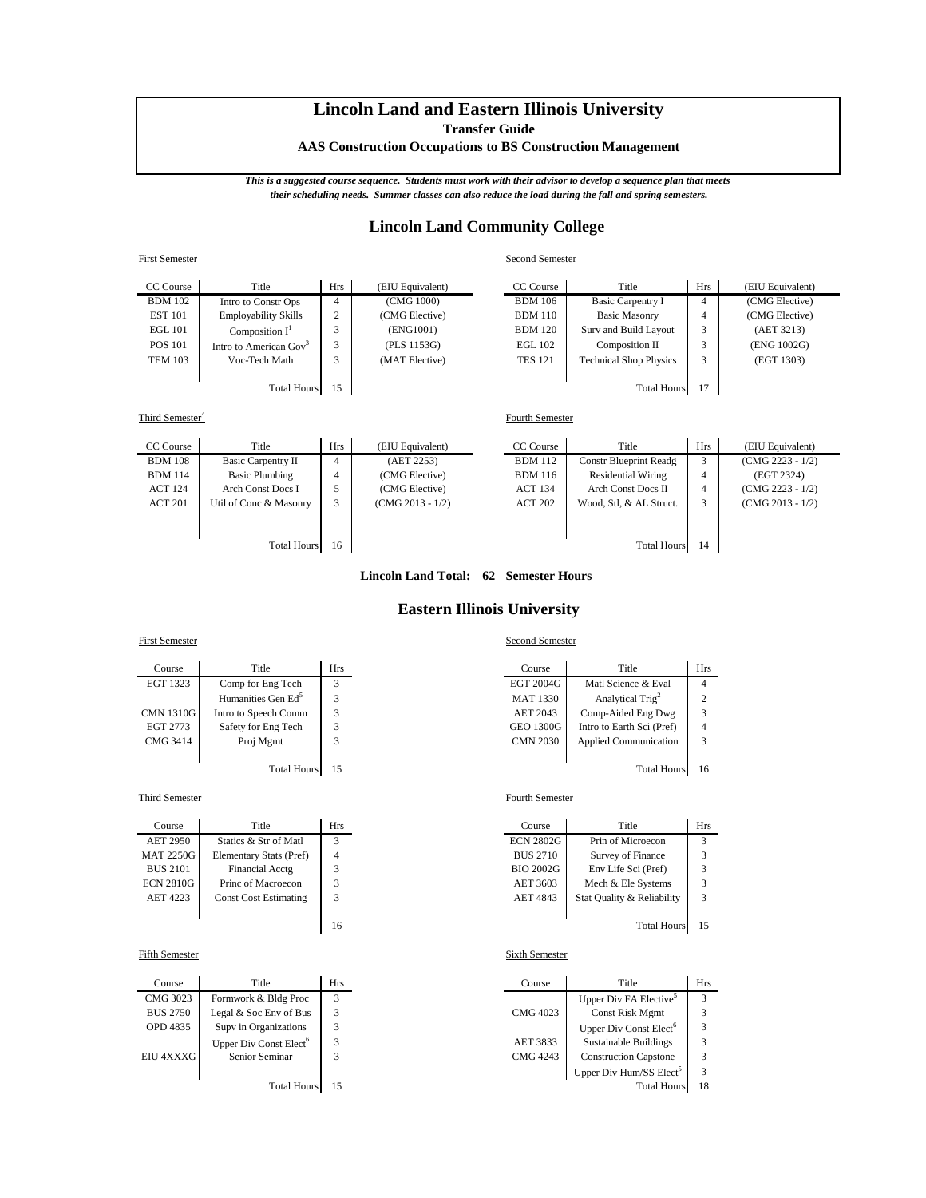# **Lincoln Land and Eastern Illinois University**

**Transfer Guide**

**AAS Construction Occupations to BS Construction Management**

*This is a suggested course sequence. Students must work with their advisor to develop a sequence plan that meets their scheduling needs. Summer classes can also reduce the load during the fall and spring semesters.*

# **Lincoln Land Community College**

| <b>First Semester</b> |                                    |                |                  | Second Semester |                               |            |                  |
|-----------------------|------------------------------------|----------------|------------------|-----------------|-------------------------------|------------|------------------|
| CC Course             | Title                              | Hrs            | (EIU Equivalent) | CC Course       | Title                         | <b>Hrs</b> | (EIU Equivalent) |
| <b>BDM</b> 102        | Intro to Constr Ops                | $\overline{4}$ | (CMG 1000)       | <b>BDM</b> 106  | <b>Basic Carpentry I</b>      | 4          | (CMG Elective)   |
| <b>EST 101</b>        | <b>Employability Skills</b>        | 2              | (CMG Elective)   | <b>BDM</b> 110  | <b>Basic Masonry</b>          | 4          | (CMG Elective)   |
| <b>EGL 101</b>        | Composition $I^1$                  | $\mathbf{r}$   | (ENG1001)        | <b>BDM</b> 120  | Surv and Build Layout         | 3          | (AET 3213)       |
| <b>POS 101</b>        | Intro to American Gov <sup>3</sup> | 3              | (PLS 1153G)      | EGL 102         | Composition II                | 3          | (ENG 1002G)      |
| <b>TEM 103</b>        | Voc-Tech Math                      | 3              | (MAT Elective)   | <b>TES 121</b>  | <b>Technical Shop Physics</b> | 3          | (EGT 1303)       |
|                       |                                    |                |                  |                 |                               |            |                  |
|                       | <b>Total Hours</b>                 | 15             |                  |                 | <b>Total Hours</b>            | 17         |                  |
|                       |                                    |                |                  |                 |                               |            |                  |

Third Semester<sup>4</sup>

| CC Course      | Title                     | <b>Hrs</b> | (EIU Equivalent)   | CC Course      | Title                         | Hrs | (EIU Equivalent)   |
|----------------|---------------------------|------------|--------------------|----------------|-------------------------------|-----|--------------------|
| <b>BDM</b> 108 | <b>Basic Carpentry II</b> | 4          | (AET 2253)         | <b>BDM</b> 112 | <b>Constr Blueprint Readg</b> | 3   | $(CMG 2223 - 1/2)$ |
| <b>BDM</b> 114 | <b>Basic Plumbing</b>     | 4          | (CMG Elective)     | <b>BDM</b> 116 | <b>Residential Wiring</b>     | 4   | (EGT 2324)         |
| <b>ACT 124</b> | Arch Const Docs I         |            | (CMG Elective)     | <b>ACT 134</b> | <b>Arch Const Docs II</b>     | 4   | $(CMG 2223 - 1/2)$ |
| <b>ACT 201</b> | Util of Conc & Masonry    | 3          | $(CMG 2013 - 1/2)$ | <b>ACT 202</b> | Wood, Stl, & AL Struct.       | 3   | $(CMG 2013 - 1/2)$ |
|                |                           |            |                    |                |                               |     |                    |
|                |                           |            |                    |                |                               |     |                    |
|                | <b>Total Hours</b>        | 16         |                    |                | <b>Total Hours</b>            | 14  |                    |

### **Lincoln Land Total: 62 Semester Hours**

## **Eastern Illinois University**

### First Semester Second Semester

| Course           | Title                          | Hrs | Course           | Title                        | Hı             |
|------------------|--------------------------------|-----|------------------|------------------------------|----------------|
| EGT 1323         | Comp for Eng Tech              |     | EGT 2004G        | Matl Science & Eval          | 4              |
|                  | Humanities Gen Ed <sup>5</sup> |     | <b>MAT 1330</b>  | Analytical Trig <sup>2</sup> | $\overline{c}$ |
| <b>CMN 1310G</b> | Intro to Speech Comm           | 3   | AET 2043         | Comp-Aided Eng Dwg           | 3              |
| EGT 2773         | Safety for Eng Tech            |     | <b>GEO 1300G</b> | Intro to Earth Sci (Pref)    | 4              |
| CMG 3414         | Proj Mgmt                      |     | <b>CMN 2030</b>  | <b>Applied Communication</b> | 3              |
|                  |                                |     |                  |                              |                |

### **Third Semester** Fourth Semester

| Course           | Title                        | Hrs |
|------------------|------------------------------|-----|
| <b>AET 2950</b>  | Statics & Str of Matl        |     |
| <b>MAT 2250G</b> | Elementary Stats (Pref)      |     |
| <b>BUS 2101</b>  | <b>Financial Acctg</b>       | 3   |
| <b>ECN 2810G</b> | Princ of Macroecon           | 3   |
| AET 4223         | <b>Const Cost Estimating</b> | 3   |
|                  |                              |     |
|                  |                              |     |

| Course          | Title                              | Hrs | Course   | Title                               | Hı  |
|-----------------|------------------------------------|-----|----------|-------------------------------------|-----|
| CMG 3023        | Formwork & Bldg Proc               |     |          | Upper Div FA Elective <sup>5</sup>  | 3   |
| <b>BUS 2750</b> | Legal & Soc Env of Bus             |     | CMG 4023 | Const Risk Mgmt                     | 3   |
| OPD 4835        | Supv in Organizations              |     |          | Upper Div Const Elect <sup>6</sup>  | 3   |
|                 | Upper Div Const Elect <sup>6</sup> |     | AET 3833 | <b>Sustainable Buildings</b>        | 3   |
| EIU 4XXXG       | Senior Seminar                     |     | CMG 4243 | <b>Construction Capstone</b>        | 3   |
|                 |                                    |     |          | Upper Div Hum/SS Elect <sup>5</sup> | 3   |
|                 | .                                  |     |          | -- --                               | . . |

Fourth Semester

| Course   | Title                          | Hrs | Course          | Title                        | Hrs |
|----------|--------------------------------|-----|-----------------|------------------------------|-----|
| GT 1323  | Comp for Eng Tech              |     | EGT 2004G       | Matl Science & Eval          |     |
|          | Humanities Gen Ed <sup>5</sup> |     | <b>MAT 1330</b> | Analytical Trig <sup>2</sup> |     |
| IN 1310G | Intro to Speech Comm           |     | AET 2043        | Comp-Aided Eng Dwg           |     |
| GT 2773  | Safety for Eng Tech            |     | GEO 1300G       | Intro to Earth Sci (Pref)    | 4   |
| MG 3414  | Proj Mgmt                      |     | <b>CMN 2030</b> | <b>Applied Communication</b> |     |
|          |                                |     |                 |                              |     |

Total Hours 15 Total Hours 16

| Course           | Title                        | Hrs          | Course           | Title                      | <b>Hrs</b>     |
|------------------|------------------------------|--------------|------------------|----------------------------|----------------|
| AET 2950         | Statics & Str of Matl        | $\mathbf{r}$ | <b>ECN 2802G</b> | Prin of Microecon          | $\overline{ }$ |
| MAT 2250G I      | Elementary Stats (Pref)      | 4            | <b>BUS 2710</b>  | Survey of Finance          |                |
| <b>BUS 2101</b>  | Financial Acctg              |              | BIO 2002G        | Env Life Sci (Pref)        |                |
| <b>ECN 2810G</b> | Princ of Macroecon           |              | AET 3603         | Mech & Ele Systems         |                |
| AET 4223         | <b>Const Cost Estimating</b> |              | <b>AET 4843</b>  | Stat Quality & Reliability |                |
|                  |                              |              |                  |                            |                |
|                  |                              | 16           |                  | <b>Total Hours</b>         |                |

### Fifth Semester Sixth Semester

| Course  | Title                              | Hrs | Course   | Title                               | Hrs |
|---------|------------------------------------|-----|----------|-------------------------------------|-----|
| MG 3023 | Formwork & Bldg Proc               |     |          | Upper Div FA Elective <sup>5</sup>  | 3   |
| US 2750 | Legal & Soc Env of Bus             |     | CMG 4023 | Const Risk Mgmt                     |     |
| PD 4835 | Supv in Organizations              |     |          | Upper Div Const Elect <sup>6</sup>  |     |
|         | Upper Div Const Elect <sup>6</sup> |     | AET 3833 | <b>Sustainable Buildings</b>        |     |
| J 4XXXG | Senior Seminar                     |     | CMG 4243 | <b>Construction Capstone</b>        |     |
|         |                                    |     |          | Upper Div Hum/SS Elect <sup>5</sup> |     |
|         | <b>Total Hours</b>                 | 15  |          | <b>Total Hours</b>                  | 18  |
|         |                                    |     |          |                                     |     |